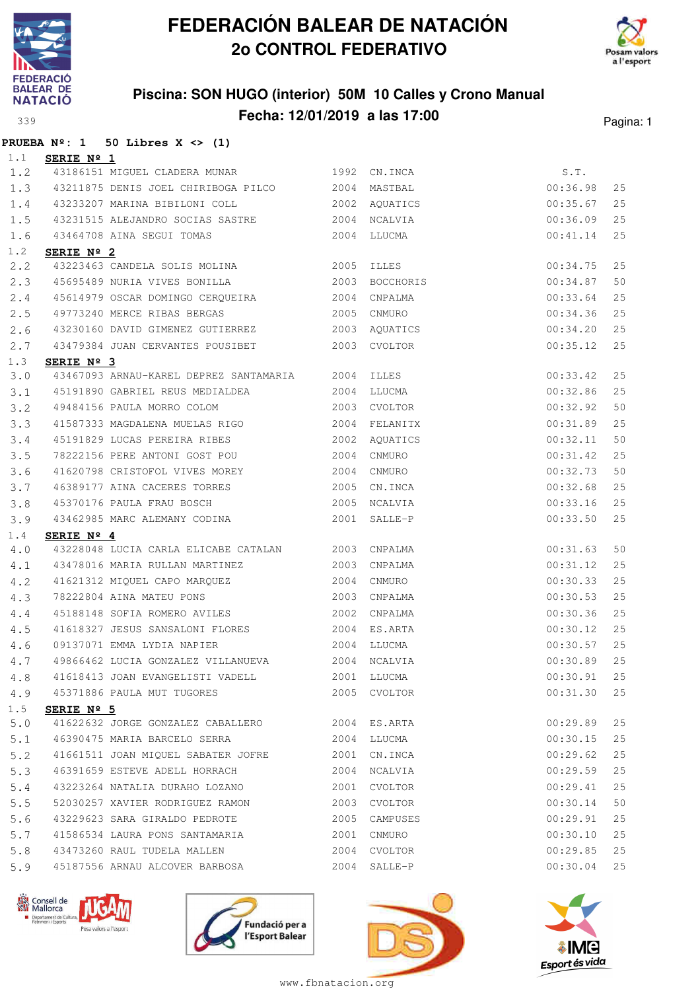

**PRUEBA Nº: 1 50 Libres X <> (1)**

## **FEDERACIÓN BALEAR DE NATACIÓN 2o CONTROL FEDERATIVO**





| 1.1         | SERIE Nº 1          |                                                                                                           |      |              |          |    |
|-------------|---------------------|-----------------------------------------------------------------------------------------------------------|------|--------------|----------|----|
| 1.2         |                     | 43186151 MIGUEL CLADERA MUNAR 1992 CN.INCA                                                                |      |              | S.T.     |    |
| 1.3         |                     | 43211875 DENIS JOEL CHIRIBOGA PILCO 2004 MASTBAL                                                          |      |              | 00:36.98 | 25 |
| 1.4         |                     | 43233207 MARINA BIBILONI COLL 2002 AQUATICS                                                               |      |              | 00:35.67 | 25 |
| 1.5         |                     | 43231515 ALEJANDRO SOCIAS SASTRE 2004                                                                     |      | NCALVIA      | 00:36.09 | 25 |
| 1.6         |                     |                                                                                                           |      |              | 00:41.14 | 25 |
| 1.2         | SERIE Nº 2          |                                                                                                           |      |              |          |    |
| 2, 2        |                     | 43223463 CANDELA SOLIS MOLINA 2005 ILLES                                                                  |      |              | 00:34.75 | 25 |
| 2.3         |                     |                                                                                                           |      |              | 00:34.87 | 50 |
| 2.4         |                     | 45614979 OSCAR DOMINGO CERQUEIRA 2004                                                                     |      | CNPALMA      | 00:33.64 | 25 |
| 2.5         |                     |                                                                                                           |      |              | 00:34.36 | 25 |
| 2.6         |                     |                                                                                                           |      |              | 00:34.20 | 25 |
| 2.7         |                     | 43479384 JUAN CERVANTES POUSIBET 2003 CVOLTOR                                                             |      |              | 00:35.12 | 25 |
| 1.3         | SERIE Nº 3          | 43230160 DAVID GIMENEZ GUTIERREZ<br>43479384 JUAN CERVANTES POUSIBET<br>2003 CVOLTOR<br>43467003 ADVIDENT |      |              |          |    |
| 3.0         |                     | 43467093 ARNAU-KAREL DEPREZ SANTAMARIA 2004 ILLES                                                         |      |              | 00:33.42 | 25 |
| 3.1         |                     | 45191890 GABRIEL REUS MEDIALDEA                                                                           |      | 2004 LLUCMA  | 00:32.86 | 25 |
| $3 \cdot 2$ |                     | 49484156 PAULA MORRO COLOM                                                                                |      | 2003 CVOLTOR | 00:32.92 | 50 |
| 3.3         |                     | 41587333 MAGDALENA MUELAS RIGO 60 2004 FELANITX                                                           |      |              | 00:31.89 | 25 |
| 3.4         |                     | 45191829 LUCAS PEREIRA RIBES 2002                                                                         |      | AQUATICS     | 00:32.11 | 50 |
| 3.5         |                     | 78222156 PERE ANTONI GOST POU                                                                             | 2004 | CNMURO       | 00:31.42 | 25 |
| 3.6         |                     | 41620798 CRISTOFOL VIVES MOREY 2004                                                                       |      | CNMURO       | 00:32.73 | 50 |
| 3.7         |                     | 46389177 AINA CACERES TORRES 2005                                                                         |      | CN.INCA      | 00:32.68 | 25 |
| 3.8         |                     | 45370176 PAULA FRAU BOSCH 2005 NCALVIA                                                                    |      |              | 00:33.16 | 25 |
| 3.9         |                     | 43462985 MARC ALEMANY CODINA                                                                              |      | 2001 SALLE-P | 00:33.50 | 25 |
| 1.4         | SERIE Nº 4          |                                                                                                           |      |              |          |    |
| 4.0         |                     | 43228048 LUCIA CARLA ELICABE CATALAN 2003 CNPALMA                                                         |      |              | 00:31.63 | 50 |
| 4.1         |                     | 43478016 MARIA RULLAN MARTINEZ 2003                                                                       |      | CNPALMA      | 00:31.12 | 25 |
| 4.2         |                     | 41621312 MIQUEL CAPO MARQUEZ 2004<br>78222804 AINA MATEU PONS 2003                                        |      | CNMURO       | 00:30.33 | 25 |
| 4.3         |                     |                                                                                                           |      | 2003 CNPALMA | 00:30.53 | 25 |
| 4.4         |                     | 45188148 SOFIA ROMERO AVILES 2002                                                                         |      | CNPALMA      | 00:30.36 | 25 |
| 4.5         |                     | 41618327 JESUS SANSALONI FLORES 2004                                                                      |      | ES.ARTA      | 00:30.12 | 25 |
| 4.6         |                     | 09137071 EMMA LYDIA NAPIER 2004 LLUCMA                                                                    |      |              | 00:30.57 | 25 |
| 4.7         |                     | 49866462 LUCIA GONZALEZ VILLANUEVA 2004 NCALVIA                                                           |      |              | 00:30.89 | 25 |
| 4.8         |                     | 41618413 JOAN EVANGELISTI VADELL 2001 LLUCMA                                                              |      |              | 00:30.91 | 25 |
| 4.9         |                     | 45371886 PAULA MUT TUGORES                                                                                |      | 2005 CVOLTOR | 00:31.30 | 25 |
| 1.5         | SERIE $N^{\circ}$ 5 |                                                                                                           |      |              |          |    |
| 5.0         |                     | 41622632 JORGE GONZALEZ CABALLERO 2004 ES.ARTA                                                            |      |              | 00:29.89 | 25 |
| 5.1         |                     | 46390475 MARIA BARCELO SERRA                                                                              |      | 2004 LLUCMA  | 00:30.15 | 25 |
| 5.2         |                     | 41661511 JOAN MIQUEL SABATER JOFRE                                                                        | 2001 | CN.INCA      | 00:29.62 | 25 |
| 5.3         |                     | 46391659 ESTEVE ADELL HORRACH                                                                             | 2004 | NCALVIA      | 00:29.59 | 25 |
| 5.4         |                     | 43223264 NATALIA DURAHO LOZANO                                                                            | 2001 | CVOLTOR      | 00:29.41 | 25 |
| 5.5         |                     | 52030257 XAVIER RODRIGUEZ RAMON                                                                           | 2003 | CVOLTOR      | 00:30.14 | 50 |
| 5.6         |                     | 43229623 SARA GIRALDO PEDROTE                                                                             | 2005 | CAMPUSES     | 00:29.91 | 25 |
| 5.7         |                     | 41586534 LAURA PONS SANTAMARIA                                                                            | 2001 | CNMURO       | 00:30.10 | 25 |
| 5.8         |                     | 43473260 RAUL TUDELA MALLEN                                                                               | 2004 | CVOLTOR      | 00:29.85 | 25 |
| 5.9         |                     | 45187556 ARNAU ALCOVER BARBOSA                                                                            |      | 2004 SALLE-P | 00:30.04 | 25 |







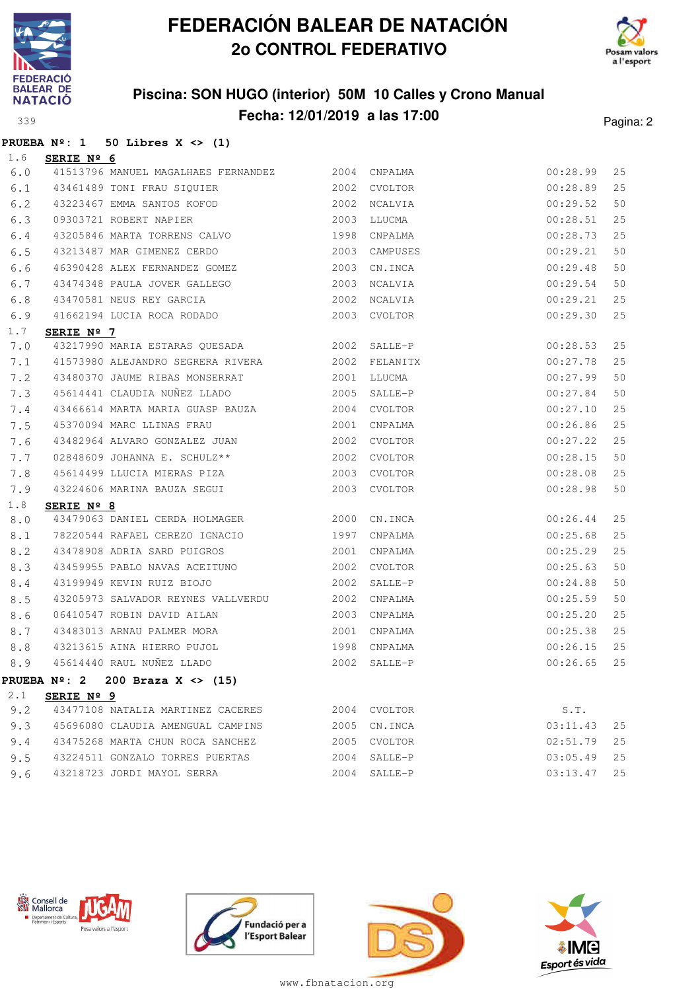



### **Piscina: SON HUGO (interior) 50M 10 Calles y Crono Manual Fecha: 12/01/2019 a las 17:00** Pagina: 2

#### **PRUEBA Nº: 1 50 Libres X <> (1)**

| 1.6         | SERIE Nº 6          |                                                  |      |              |          |    |
|-------------|---------------------|--------------------------------------------------|------|--------------|----------|----|
| 6.0         |                     | 41513796 MANUEL MAGALHAES FERNANDEZ 2004 CNPALMA |      |              | 00:28.99 | 25 |
| 6.1         |                     | 43461489 TONI FRAU SIQUIER                       | 2002 | CVOLTOR      | 00:28.89 | 25 |
| 6.2         |                     | 43223467 EMMA SANTOS KOFOD 2002                  |      | NCALVIA      | 00:29.52 | 50 |
| 6.3         |                     | 2003<br>09303721 ROBERT NAPIER                   |      | LLUCMA       | 00:28.51 | 25 |
| 6.4         |                     | 43205846 MARTA TORRENS CALVO 1998                |      | CNPALMA      | 00:28.73 | 25 |
| 6.5         |                     | 43213487 MAR GIMENEZ CERDO 2003                  |      | CAMPUSES     | 00:29.21 | 50 |
| 6.6         |                     | 46390428 ALEX FERNANDEZ GOMEZ 2003               |      | CN.INCA      | 00:29.48 | 50 |
| 6.7         |                     | 43474348 PAULA JOVER GALLEGO                     | 2003 | NCALVIA      | 00:29.54 | 50 |
| 6.8         |                     | 43470581 NEUS REY GARCIA                         |      | 2002 NCALVIA | 00:29.21 | 25 |
| 6.9         |                     | 41662194 LUCIA ROCA RODADO 2003 CVOLTOR          |      |              | 00:29.30 | 25 |
| 1.7         | SERIE Nº 7          |                                                  |      |              |          |    |
| 7.0         |                     | 43217990 MARIA ESTARAS QUESADA 2002              |      | SALLE-P      | 00:28.53 | 25 |
| 7.1         |                     | 41573980 ALEJANDRO SEGRERA RIVERA 2002 FELANITX  |      |              | 00:27.78 | 25 |
| 7.2         |                     | 43480370 JAUME RIBAS MONSERRAT                   |      | 2001 LLUCMA  | 00:27.99 | 50 |
| 7.3         |                     | 45614441 CLAUDIA NUÑEZ LLADO 2005                |      | SALLE-P      | 00:27.84 | 50 |
| 7.4         |                     | 43466614 MARTA MARIA GUASP BAUZA 2004            |      | CVOLTOR      | 00:27.10 | 25 |
| 7.5         |                     | 45370094 MARC LLINAS FRAU 2001                   |      | CNPALMA      | 00:26.86 | 25 |
| 7.6         |                     | 43482964 ALVARO GONZALEZ JUAN 2002               |      | CVOLTOR      | 00:27.22 | 25 |
| 7.7         |                     | 02848609 JOHANNA E. SCHULZ ** 2002               |      | CVOLTOR      | 00:28.15 | 50 |
| 7.8         |                     | 45614499 LLUCIA MIERAS PIZA 2003                 |      | CVOLTOR      | 00:28.08 | 25 |
| 7.9         |                     | 43224606 MARINA BAUZA SEGUI 2003 CVOLTOR         |      |              | 00:28.98 | 50 |
| 1.8         | SERIE Nº 8          |                                                  |      |              |          |    |
| 8.0         |                     | 43479063 DANIEL CERDA HOLMAGER 2000 CN.INCA      |      |              | 00:26.44 | 25 |
| 8.1         |                     | 78220544 RAFAEL CEREZO IGNACIO 1997              |      | CNPALMA      | 00:25.68 | 25 |
| 8.2         |                     | 43478908 ADRIA SARD PUIGROS 2001                 |      | CNPALMA      | 00:25.29 | 25 |
| 8.3         |                     | 43459955 PABLO NAVAS ACEITUNO                    | 2002 | CVOLTOR      | 00:25.63 | 50 |
| 8.4         |                     | 43199949 KEVIN RUIZ BIOJO                        | 2002 | SALLE-P      | 00:24.88 | 50 |
| 8.5         |                     | 43205973 SALVADOR REYNES VALLVERDU 2002          |      | CNPALMA      | 00:25.59 | 50 |
| 8.6         |                     | 06410547 ROBIN DAVID AILAN 2003                  |      | CNPALMA      | 00:25.20 | 25 |
| 8.7         |                     | 43483013 ARNAU PALMER MORA                       | 2001 | CNPALMA      | 00:25.38 | 25 |
| 8.8         |                     | 43213615 AINA HIERRO PUJOL 1998                  |      | CNPALMA      | 00:26.15 | 25 |
| 8.9         |                     | 45614440 RAUL NUÑEZ LLADO 2002                   |      | SALLE-P      | 00:26.65 | 25 |
|             |                     | PRUEBA Nº: 2 200 Braza X <> (15)                 |      |              |          |    |
| $2 \cdot 1$ | SERIE $N^{\circ}$ 9 |                                                  |      |              |          |    |
| 9.2         |                     | 43477108 NATALIA MARTINEZ CACERES                |      | 2004 CVOLTOR | S.T.     |    |
| 9.3         |                     | 45696080 CLAUDIA AMENGUAL CAMPINS                | 2005 | CN.INCA      | 03:11.43 | 25 |
| 9.4         |                     | 43475268 MARTA CHUN ROCA SANCHEZ                 | 2005 | CVOLTOR      | 02:51.79 | 25 |
| 9.5         |                     | 43224511 GONZALO TORRES PUERTAS                  | 2004 | SALLE-P      | 03:05.49 | 25 |
| 9.6         |                     | 43218723 JORDI MAYOL SERRA                       |      | 2004 SALLE-P | 03:13.47 | 25 |







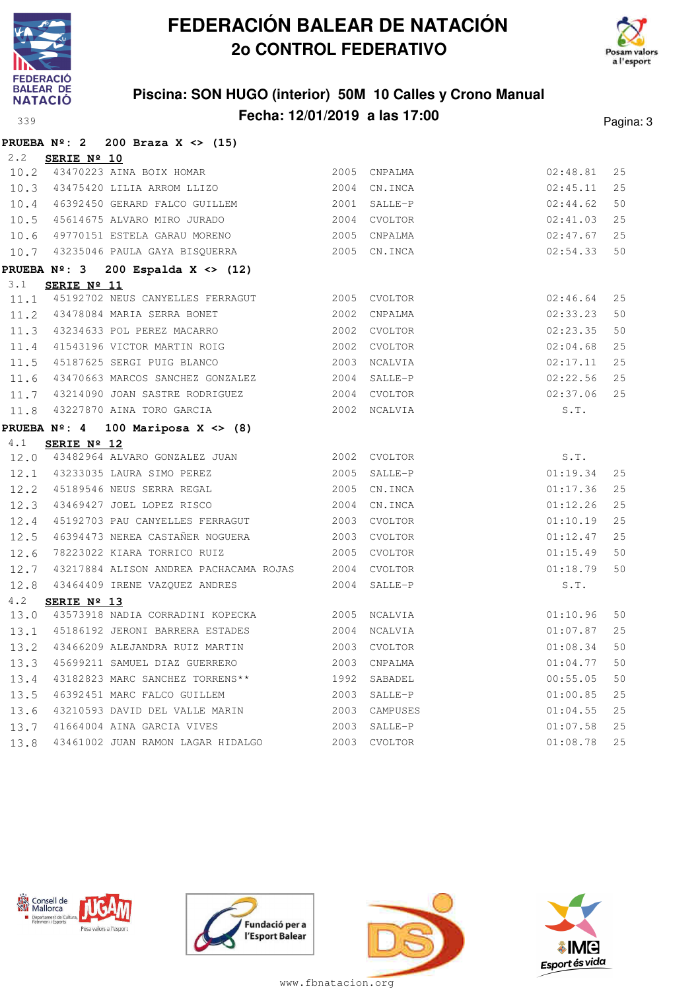



### **Piscina: SON HUGO (interior) 50M 10 Calles y Crono Manual Fecha: 12/01/2019 a las 17:00**<br>Pagina: 3

| ⌒⌒<br>$\sim$<br>۰. |  |
|--------------------|--|
|                    |  |

|             | PRUEBA $N^2$ : 2 200 Braza X <> (15)                        |      |              |          |    |
|-------------|-------------------------------------------------------------|------|--------------|----------|----|
| $2 \cdot 2$ | SERIE Nº 10                                                 |      |              |          |    |
|             | 10.2 43470223 AINA BOIX HOMAR 2005 CNPALMA                  |      |              | 02:48.81 | 25 |
|             | 10.3 43475420 LILIA ARROM LLIZO                             |      | 2004 CN.INCA | 02:45.11 | 25 |
|             | 10.4 46392450 GERARD FALCO GUILLEM                          |      | 2001 SALLE-P | 02:44.62 | 50 |
|             | 10.5 45614675 ALVARO MIRO JURADO                            |      | 2004 CVOLTOR | 02:41.03 | 25 |
|             | 10.6 49770151 ESTELA GARAU MORENO                           | 2005 | CNPALMA      | 02:47.67 | 25 |
|             | 10.7 43235046 PAULA GAYA BISQUERRA                          | 2005 | CN.INCA      | 02:54.33 | 50 |
|             | PRUEBA $N^{\circ}$ : 3 200 Espalda X <> (12)                |      |              |          |    |
| 3.1         | SERIE $N^{\circ}$ 11                                        |      |              |          |    |
|             | 11.1 45192702 NEUS CANYELLES FERRAGUT 2005 CVOLTOR          |      |              | 02:46.64 | 25 |
|             | 11.2 43478084 MARIA SERRA BONET                             |      | 2002 CNPALMA | 02:33.23 | 50 |
|             | 11.3 43234633 POL PEREZ MACARRO                             |      | 2002 CVOLTOR | 02:23.35 | 50 |
|             | 11.4 41543196 VICTOR MARTIN ROIG                            |      | 2002 CVOLTOR | 02:04.68 | 25 |
|             | 11.5 45187625 SERGI PUIG BLANCO                             |      | 2003 NCALVIA | 02:17.11 | 25 |
| 11.6        | 43470663 MARCOS SANCHEZ GONZALEZ 2004                       |      | SALLE-P      | 02:22.56 | 25 |
| 11.7        | 43214090 JOAN SASTRE RODRIGUEZ                              |      | 2004 CVOLTOR | 02:37.06 | 25 |
| 11.8        | 43227870 AINA TORO GARCIA                                   |      | 2002 NCALVIA | S.T.     |    |
|             | <b>PRUEBA Nº: 4</b><br>100 Mariposa X $\langle \rangle$ (8) |      |              |          |    |
| 4.1         | SERIE $N^{\circ}$ 12                                        |      |              |          |    |
|             | 12.0 43482964 ALVARO GONZALEZ JUAN 2002 CVOLTOR             |      |              | S.T.     |    |
|             | 12.1 43233035 LAURA SIMO PEREZ                              | 2005 | SALLE-P      | 01:19.34 | 25 |
|             | 12.2 45189546 NEUS SERRA REGAL                              | 2005 | CN.INCA      | 01:17.36 | 25 |
| 12.3        | 43469427 JOEL LOPEZ RISCO                                   |      | 2004 CN.INCA | 01:12.26 | 25 |
| 12.4        | 45192703 PAU CANYELLES FERRAGUT                             |      | 2003 CVOLTOR | 01:10.19 | 25 |
| 12.5        | 46394473 NEREA CASTAÑER NOGUERA                             |      | 2003 CVOLTOR | 01:12.47 | 25 |
| 12.6        | 78223022 KIARA TORRICO RUIZ                                 |      | 2005 CVOLTOR | 01:15.49 | 50 |
|             | 12.7 43217884 ALISON ANDREA PACHACAMA ROJAS 2004 CVOLTOR    |      |              | 01:18.79 | 50 |
|             | 12.8 43464409 IRENE VAZQUEZ ANDRES                          |      | 2004 SALLE-P | S.T.     |    |
| 4.2         | SERIE $N^{\circ}$ 13                                        |      |              |          |    |
| 13.0        | 43573918 NADIA CORRADINI KOPECKA 2005 NCALVIA               |      |              | 01:10.96 | 50 |
|             | 13.1 45186192 JERONI BARRERA ESTADES 2004                   |      | NCALVIA      | 01:07.87 | 25 |
| 13.2        | 43466209 ALEJANDRA RUIZ MARTIN 2003                         |      | CVOLTOR      | 01:08.34 | 50 |
| 13.3        | 45699211 SAMUEL DIAZ GUERRERO 2003                          |      | CNPALMA      | 01:04.77 | 50 |
| 13.4        | 43182823 MARC SANCHEZ TORRENS** 1992                        |      | SABADEL      | 00:55.05 | 50 |
| 13.5        | 46392451 MARC FALCO GUILLEM                                 | 2003 | SALLE-P      | 01:00.85 | 25 |
| 13.6        |                                                             |      |              | 01:04.55 | 25 |
| 13.7        | 41664004 AINA GARCIA VIVES 2003 SALLE-P                     |      |              | 01:07.58 | 25 |
| 13.8        | 43461002 JUAN RAMON LAGAR HIDALGO                           |      | 2003 CVOLTOR | 01:08.78 | 25 |







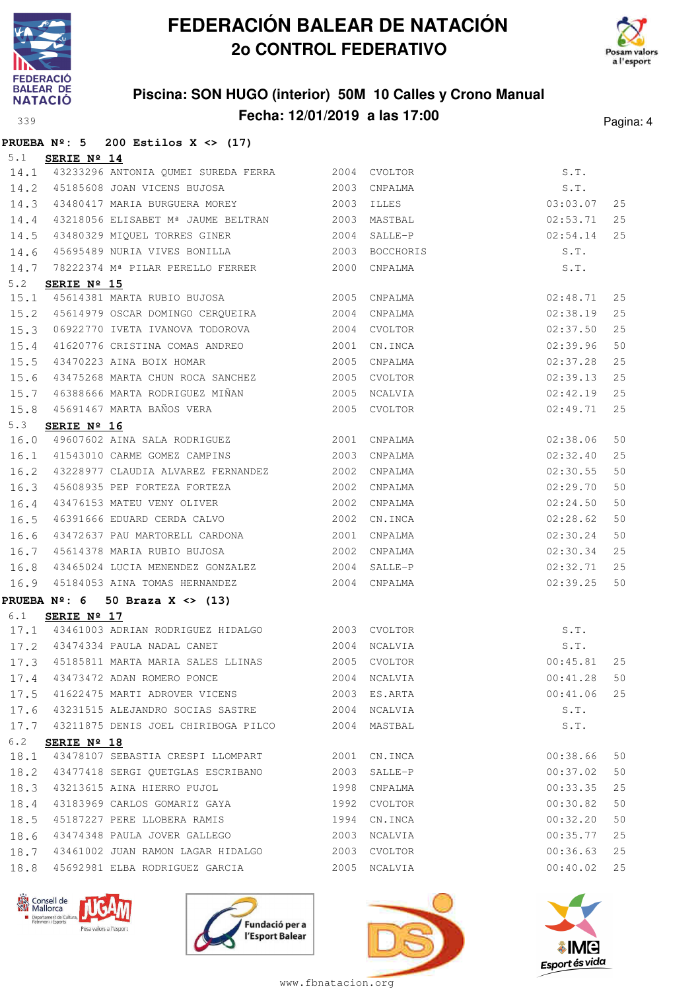



### **Piscina: SON HUGO (interior) 50M 10 Calles y Crono Manual Fecha: 12/01/2019 a las 17:00** Pagina: 4

|             |             | PRUEBA $N^2$ : 5 200 Estilos X <> (17)                                                              |              |              |                       |    |
|-------------|-------------|-----------------------------------------------------------------------------------------------------|--------------|--------------|-----------------------|----|
| 5.1         | SERIE Nº 14 |                                                                                                     |              |              |                       |    |
|             |             | 14.1 43233296 ANTONIA QUMEI SUREDA FERRA 2004 CVOLTOR                                               |              |              | S.T.                  |    |
| 14.2        |             | 45185608 JOAN VICENS BUJOSA 2003                                                                    |              | CNPALMA      | S.T.                  |    |
| 14.3        |             |                                                                                                     |              |              | 03:03.07              | 25 |
| 14.4        |             | 43218056 ELISABET Mª JAUME BELTRAN 2003 MASTBAL                                                     |              |              | 02:53.71              | 25 |
| 14.5        |             | 43480329 MIQUEL TORRES GINER 2004 SALLE-P                                                           |              |              | 02:54.14              | 25 |
| 14.6        |             | 45695489 NURIA VIVES BONILLA 2003                                                                   |              | BOCCHORIS    | S.T.                  |    |
| 14.7        |             | 78222374 Mª PILAR PERELLO FERRER 2000                                                               |              | CNPALMA      | S.T.                  |    |
| 5.2         | SERIE Nº 15 |                                                                                                     |              |              |                       |    |
| 15.1        |             | 45614381 MARTA RUBIO BUJOSA 2005 CNPALMA                                                            |              |              | 02:48.71              | 25 |
| 15.2        |             | 45614979 OSCAR DOMINGO CERQUEIRA 2004                                                               |              | CNPALMA      | 02:38.19              | 25 |
| 15.3        |             | 06922770 IVETA IVANOVA TODOROVA 2004                                                                |              | CVOLTOR      | 02:37.50              | 25 |
| 15.4        |             | 41620776 CRISTINA COMAS ANDREO 2001                                                                 |              | CN.INCA      | 02:39.96              | 50 |
| 15.5        |             | 43470223 AINA BOIX HOMAR<br>--                                                                      |              | 2005 CNPALMA | 02:37.28              | 25 |
| 15.6        |             | 43475268 MARTA CHUN ROCA SANCHEZ 2005 CVOLTOR                                                       |              |              | 02:39.13              | 25 |
| 15.7        |             | 46388666 MARTA RODRIGUEZ MIÑAN 6388666 MARTA RODRIGUEZ MIÑAN                                        |              | NCALVIA      | 02:42.19              | 25 |
| 15.8        |             | 45691467 MARTA BAÑOS VERA 2005 CVOLTOR                                                              |              |              | 02:49.71              | 25 |
| 5.3         | SERIE Nº 16 |                                                                                                     |              |              |                       |    |
| 16.0        |             | 49607602 AINA SALA RODRIGUEZ 2001 CNPALMA                                                           |              |              | 02:38.06              | 50 |
| 16.1        |             | 41543010 CARME GOMEZ CAMPINS 2003                                                                   |              | CNPALMA      | 02:32.40              | 25 |
| 16.2        |             | 43228977 CLAUDIA ALVAREZ FERNANDEZ 2002                                                             |              | CNPALMA      | 02:30.55              | 50 |
| 16.3        |             | 45608935 PEP FORTEZA FORTEZA 2002                                                                   |              | CNPALMA      | 02:29.70              | 50 |
| 16.4        |             | 43476153 MATEU VENY OLIVER                                                                          |              | 2002 CNPALMA | 02:24.50              | 50 |
| 16.5        |             | 46391666 EDUARD CERDA CALVO 2002                                                                    |              | CN.INCA      | 02:28.62              | 50 |
| 16.6        |             | 43472637 PAU MARTORELL CARDONA 2001                                                                 |              | CNPALMA      | 02:30.24              | 50 |
| 16.7        |             | 45614378 MARIA RUBIO BUJOSA                                                                         | 2002         | CNPALMA      | 02:30.34              | 25 |
| 16.8        |             | 43465024 LUCIA MENENDEZ GONZALEZ 62004 SALLE-P                                                      |              |              | 02:32.71              | 25 |
| 16.9        |             | 45184053 AINA TOMAS HERNANDEZ 2004 CNPALMA                                                          |              |              | 02:39.25              | 50 |
|             |             | PRUEBA $N^{\circ}$ : 6 50 Braza X <> (13)                                                           |              |              |                       |    |
| 6.1         | SERIE Nº 17 | 17.1 43461003 ADRIAN RODRIGUEZ HIDALGO 2003 CVOLTOR                                                 |              |              | S.T.                  |    |
|             |             |                                                                                                     |              |              | S.T.                  |    |
|             |             | 17.2 43474334 PAULA NADAL CANET 2004 NCALVIA<br>17.3 45185811 MARTA MARIA SALES LLINAS 2005 CVOLTOR |              |              | $S.T.$<br>00:45.81 25 |    |
|             |             |                                                                                                     | 2004 NCALVIA |              |                       |    |
|             |             | 17.4 43473472 ADAN ROMERO PONCE                                                                     |              |              | 00:41.28              | 50 |
| 17.5        |             | 41622475 MARTI ADROVER VICENS                                                                       |              | 2003 ES.ARTA | 00:41.06              | 25 |
| 17.6        |             | 43231515 ALEJANDRO SOCIAS SASTRE 62004 NCALVIA                                                      |              |              | S.T.                  |    |
|             |             | 17.7 43211875 DENIS JOEL CHIRIBOGA PILCO 2004 MASTBAL                                               |              |              | S.T.                  |    |
| 6.2<br>18.1 | SERIE Nº 18 | 43478107 SEBASTIA CRESPI LLOMPART 2001                                                              |              | CN.INCA      | 00:38.66              | 50 |
| 18.2        |             |                                                                                                     |              | SALLE-P      | 00:37.02              | 50 |
| 18.3        |             | 43213615 AINA HIERRO PUJOL                                                                          | 1998         | CNPALMA      | 00:33.35              | 25 |
| 18.4        |             | 43183969 CARLOS GOMARIZ GAYA                                                                        | 1992         | CVOLTOR      | 00:30.82              | 50 |
| 18.5        |             | 45187227 PERE LLOBERA RAMIS                                                                         |              | 1994 CN.INCA | 00:32.20              | 50 |
| 18.6        |             | 43474348 PAULA JOVER GALLEGO                                                                        |              | 2003 NCALVIA | 00:35.77              | 25 |
| 18.7        |             | 43461002 JUAN RAMON LAGAR HIDALGO  2003 CVOLTOR                                                     |              |              | 00:36.63              | 25 |
| 18.8        |             | 45692981 ELBA RODRIGUEZ GARCIA                                                                      |              | 2005 NCALVIA | 00:40.02              | 25 |
|             |             |                                                                                                     |              |              |                       |    |







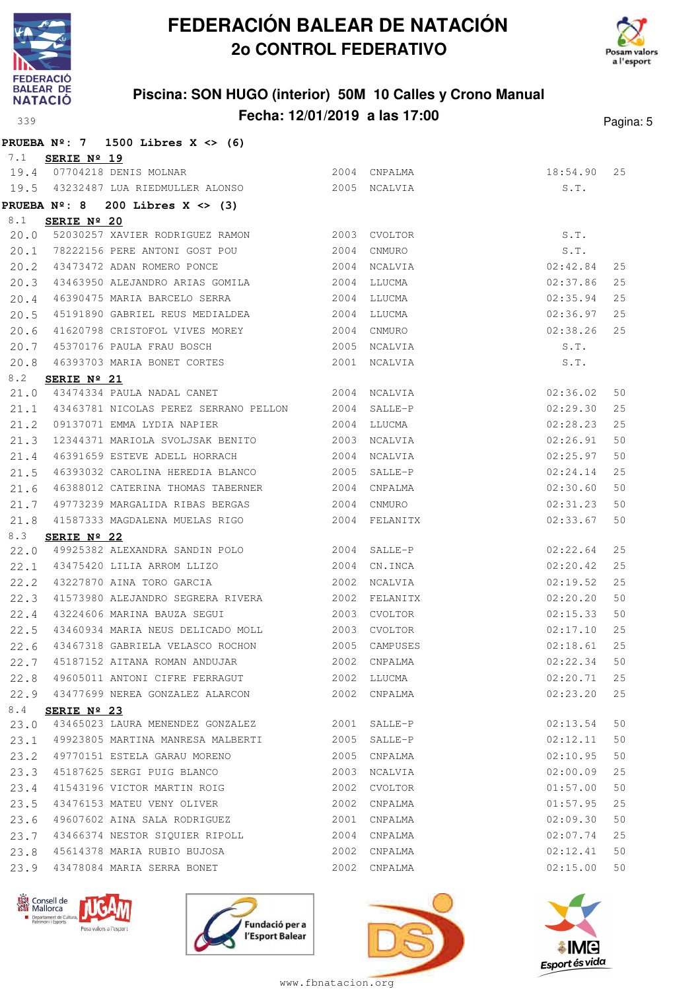



### **Piscina: SON HUGO (interior) 50M 10 Calles y Crono Manual Fecha: 12/01/2019 a las 17:00** Pagina: 5

|             |                      | PRUEBA $N^{\circ}$ : 7 1500 Libres X <> (6)        |              |              |          |    |
|-------------|----------------------|----------------------------------------------------|--------------|--------------|----------|----|
| 7.1         | SERIE Nº 19          |                                                    |              |              |          |    |
|             |                      | 19.4 07704218 DENIS MOLNAR                         | 2004 CNPALMA |              | 18:54.90 | 25 |
|             |                      | 19.5 43232487 LUA RIEDMULLER ALONSO 6 2005 NCALVIA |              |              | S.T.     |    |
|             | <b>PRUEBA Nº: 8</b>  | 200 Libres $X \leq (3)$                            |              |              |          |    |
| 8.1         | SERIE Nº 20          |                                                    |              |              |          |    |
| 20.0        |                      | 52030257 XAVIER RODRIGUEZ RAMON 2003 CVOLTOR       |              |              | S.T.     |    |
| 20.1        |                      | 78222156 PERE ANTONI GOST POU                      | 2004 CNMURO  |              | S.T.     |    |
| 20.2        |                      | 43473472 ADAN ROMERO PONCE 2004                    |              | NCALVIA      | 02:42.84 | 25 |
| 20.3        |                      | 43463950 ALEJANDRO ARIAS GOMILA 2004               |              | LLUCMA       | 02:37.86 | 25 |
| 20.4        |                      | 46390475 MARIA BARCELO SERRA                       | 2004         | LLUCMA       | 02:35.94 | 25 |
| 20.5        |                      | 45191890 GABRIEL REUS MEDIALDEA                    | 2004         | LLUCMA       | 02:36.97 | 25 |
| 20.6        |                      | 41620798 CRISTOFOL VIVES MOREY 2004                |              | CNMURO       | 02:38.26 | 25 |
| 20.7        |                      | 45370176 PAULA FRAU BOSCH 2005                     |              | NCALVIA      | S.T.     |    |
| 20.8        |                      | 46393703 MARIA BONET CORTES                        |              | 2001 NCALVIA | S.T.     |    |
| 8.2         | SERIE Nº 21          |                                                    |              |              |          |    |
| 21.0        |                      | 43474334 PAULA NADAL CANET                         |              | 2004 NCALVIA | 02:36.02 | 50 |
| 21.1        |                      | 43463781 NICOLAS PEREZ SERRANO PELLON 2004         |              | SALLE-P      | 02:29.30 | 25 |
| 21.2        |                      | 09137071 EMMA LYDIA NAPIER 2004                    |              | LLUCMA       | 02:28.23 | 25 |
| 21.3        |                      | 12344371 MARIOLA SVOLJSAK BENITO 2003              |              | NCALVIA      | 02:26.91 | 50 |
| 21.4        |                      | 46391659 ESTEVE ADELL HORRACH                      | 2004         | NCALVIA      | 02:25.97 | 50 |
| 21.5        |                      | 46393032 CAROLINA HEREDIA BLANCO 2005              |              | SALLE-P      | 02:24.14 | 25 |
| 21.6        |                      | 46388012 CATERINA THOMAS TABERNER 2004             |              | CNPALMA      | 02:30.60 | 50 |
| 21.7        |                      | 49773239 MARGALIDA RIBAS BERGAS                    | 2004 CNMURO  |              | 02:31.23 | 50 |
| 21.8        |                      |                                                    |              |              | 02:33.67 | 50 |
| 8.3<br>22.0 | SERIE Nº 22          | 49925382 ALEXANDRA SANDIN POLO 2004                |              | SALLE-P      | 02:22.64 | 25 |
| 22.1        |                      | 43475420 LILIA ARROM LLIZO 2004                    |              | CN.INCA      | 02:20.42 | 25 |
| 22.2        |                      | 43227870 AINA TORO GARCIA                          |              | 2002 NCALVIA | 02:19.52 | 25 |
| 22.3        |                      | 41573980 ALEJANDRO SEGRERA RIVERA 2002 FELANITX    |              |              | 02:20.20 | 50 |
| 22.4        |                      | 43224606 MARINA BAUZA SEGUI<br>2003                |              | CVOLTOR      | 02:15.33 | 50 |
| 22.5        |                      | 43460934 MARIA NEUS DELICADO MOLL 2003             |              | CVOLTOR      | 02:17.10 | 25 |
| 22.6        |                      | 43467318 GABRIELA VELASCO ROCHON 2005 CAMPUSES     |              |              | 02:18.61 | 25 |
| 22.7        |                      | 45187152 AITANA ROMAN ANDUJAR                      | 2002         | CNPALMA      | 02:22.34 | 50 |
| 22.8        |                      | 49605011 ANTONI CIFRE FERRAGUT                     |              | 2002 LLUCMA  | 02:20.71 | 25 |
| 22.9        |                      | 43477699 NEREA GONZALEZ ALARCON                    | 2002         | CNPALMA      | 02:23.20 | 25 |
| 8.4         | SERIE $N^{\circ}$ 23 |                                                    |              |              |          |    |
| 23.0        |                      | 43465023 LAURA MENENDEZ GONZALEZ                   |              | 2001 SALLE-P | 02:13.54 | 50 |
| 23.1        |                      | 49923805 MARTINA MANRESA MALBERTI                  | 2005         | SALLE-P      | 02:12.11 | 50 |
| 23.2        |                      | 49770151 ESTELA GARAU MORENO                       | 2005         | CNPALMA      | 02:10.95 | 50 |
| 23.3        |                      | 45187625 SERGI PUIG BLANCO                         | 2003         | NCALVIA      | 02:00.09 | 25 |
| 23.4        |                      | 41543196 VICTOR MARTIN ROIG                        | 2002         | CVOLTOR      | 01:57.00 | 50 |
| 23.5        |                      | 43476153 MATEU VENY OLIVER                         | 2002         | CNPALMA      | 01:57.95 | 25 |
| 23.6        |                      | 49607602 AINA SALA RODRIGUEZ                       | 2001         | CNPALMA      | 02:09.30 | 50 |
| 23.7        |                      | 43466374 NESTOR SIQUIER RIPOLL                     | 2004         | CNPALMA      | 02:07.74 | 25 |
| 23.8        |                      | 45614378 MARIA RUBIO BUJOSA                        | 2002         | CNPALMA      | 02:12.41 | 50 |
| 23.9        |                      | 43478084 MARIA SERRA BONET                         | 2002         | CNPALMA      | 02:15.00 | 50 |







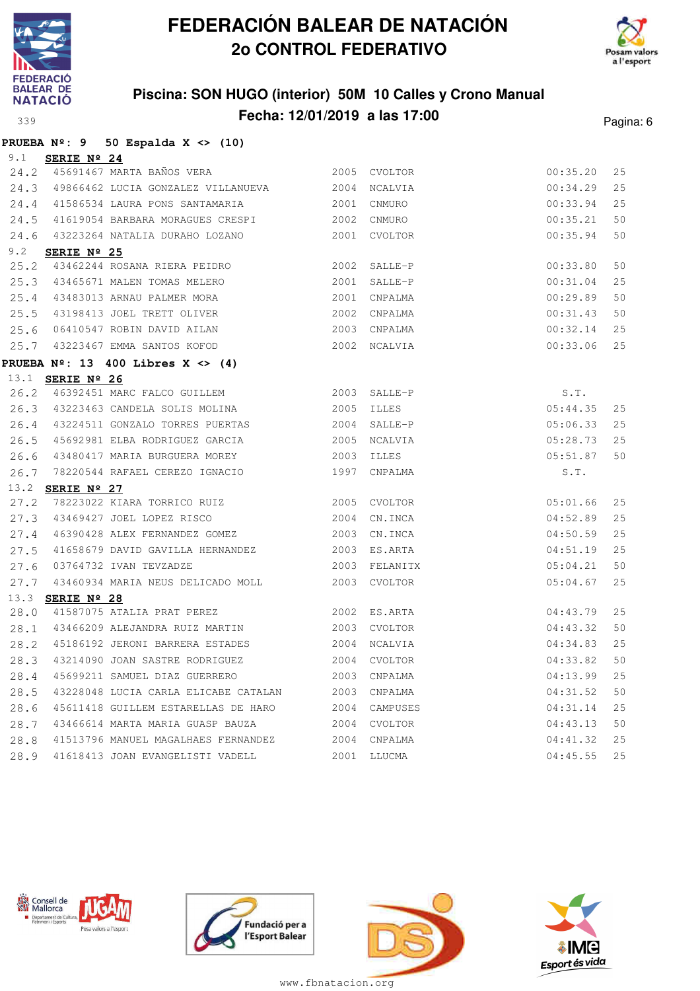

**PRUEBA Nº: 9 50 Espalda X <> (10)**

## **FEDERACIÓN BALEAR DE NATACIÓN 2o CONTROL FEDERATIVO**



### **Piscina: SON HUGO (interior) 50M 10 Calles y Crono Manual Fecha: 12/01/2019 a las 17:00** Pagina: 6

| 9.1  | SERIE Nº 24             |                                                      |              |               |          |    |
|------|-------------------------|------------------------------------------------------|--------------|---------------|----------|----|
| 24.2 |                         | 45691467 MARTA BAÑOS VERA                            |              | 2005 CVOLTOR  | 00:35.20 | 25 |
|      |                         | 24.3 49866462 LUCIA GONZALEZ VILLANUEVA 2004         |              | NCALVIA       | 00:34.29 | 25 |
|      |                         | 24.4 41586534 LAURA PONS SANTAMARIA                  | 2001         | CNMURO        | 00:33.94 | 25 |
| 24.5 |                         | 41619054 BARBARA MORAGUES CRESPI 2002                |              | CNMURO        | 00:35.21 | 50 |
|      |                         | 24.6 43223264 NATALIA DURAHO LOZANO 600 2001 CVOLTOR |              |               | 00:35.94 | 50 |
| 9.2  | SERIE Nº 25             |                                                      |              |               |          |    |
| 25.2 |                         | 43462244 ROSANA RIERA PEIDRO                         | 2002         | SALLE-P       | 00:33.80 | 50 |
|      |                         | 25.3 43465671 MALEN TOMAS MELERO                     | 2001         | SALLE-P       | 00:31.04 | 25 |
|      |                         | 25.4 43483013 ARNAU PALMER MORA                      |              | 2001 CNPALMA  | 00:29.89 | 50 |
|      |                         | 25.5 43198413 JOEL TRETT OLIVER                      |              | 2002 CNPALMA  | 00:31.43 | 50 |
|      |                         | 25.6 06410547 ROBIN DAVID AILAN                      |              | 2003 CNPALMA  | 00:32.14 | 25 |
|      |                         | 25.7 43223467 EMMA SANTOS KOFOD                      |              | 2002 NCALVIA  | 00:33.06 | 25 |
|      |                         | PRUEBA $N^{\circ}$ : 13 400 Libres X <> (4)          |              |               |          |    |
|      | 13.1 <b>SERIE Nº 26</b> |                                                      |              |               |          |    |
|      |                         | 26.2 46392451 MARC FALCO GUILLEM 2003 SALLE-P        |              |               | S.T.     |    |
|      |                         | 26.3 43223463 CANDELA SOLIS MOLINA                   | 2005         | <b>ILLES</b>  | 05:44.35 | 25 |
|      |                         | 26.4 43224511 GONZALO TORRES PUERTAS                 | 2004         | SALLE-P       | 05:06.33 | 25 |
| 26.5 |                         | 45692981 ELBA RODRIGUEZ GARCIA                       | 2005         | NCALVIA       | 05:28.73 | 25 |
| 26.6 |                         | 43480417 MARIA BURGUERA MOREY                        |              | 2003 ILLES    | 05:51.87 | 50 |
| 26.7 |                         | 78220544 RAFAEL CEREZO IGNACIO                       | 1997         | CNPALMA       | S.T.     |    |
|      | 13.2 <b>SERIE Nº 27</b> |                                                      |              |               |          |    |
| 27.2 |                         | 78223022 KIARA TORRICO RUIZ                          |              | 2005 CVOLTOR  | 05:01.66 | 25 |
|      |                         | 27.3 43469427 JOEL LOPEZ RISCO                       | 2004         | CN.INCA       | 04:52.89 | 25 |
|      |                         | 27.4 46390428 ALEX FERNANDEZ GOMEZ                   |              | 2003 CN.INCA  | 04:50.59 | 25 |
| 27.5 |                         | 41658679 DAVID GAVILLA HERNANDEZ                     |              | 2003 ES.ARTA  | 04:51.19 | 25 |
|      |                         | 27.6 03764732 IVAN TEVZADZE                          |              | 2003 FELANITX | 05:04.21 | 50 |
|      |                         | 27.7 43460934 MARIA NEUS DELICADO MOLL               |              | 2003 CVOLTOR  | 05:04.67 | 25 |
|      | 13.3 SERIE Nº 28        |                                                      |              |               |          |    |
| 28.0 |                         | 41587075 ATALIA PRAT PEREZ 2002 ES.ARTA              |              |               | 04:43.79 | 25 |
|      |                         | 28.1 43466209 ALEJANDRA RUIZ MARTIN                  | 2003 CVOLTOR |               | 04:43.32 | 50 |
| 28.2 |                         | 45186192 JERONI BARRERA ESTADES                      | 2004         | NCALVIA       | 04:34.83 | 25 |
| 28.3 |                         | 43214090 JOAN SASTRE RODRIGUEZ                       | 2004         | CVOLTOR       | 04:33.82 | 50 |
| 28.4 |                         | 45699211 SAMUEL DIAZ GUERRERO                        | 2003         | CNPALMA       | 04:13.99 | 25 |
| 28.5 |                         | 43228048 LUCIA CARLA ELICABE CATALAN 2003            |              | CNPALMA       | 04:31.52 | 50 |
| 28.6 |                         | 45611418 GUILLEM ESTARELLAS DE HARO 2004 CAMPUSES    |              |               | 04:31.14 | 25 |
| 28.7 |                         | 43466614 MARTA MARIA GUASP BAUZA                     | 2004         | CVOLTOR       | 04:43.13 | 50 |
| 28.8 |                         | 41513796 MANUEL MAGALHAES FERNANDEZ 2004             |              | CNPALMA       | 04:41.32 | 25 |
| 28.9 |                         | 41618413 JOAN EVANGELISTI VADELL                     | 2001         | LLUCMA        | 04:45.55 | 25 |







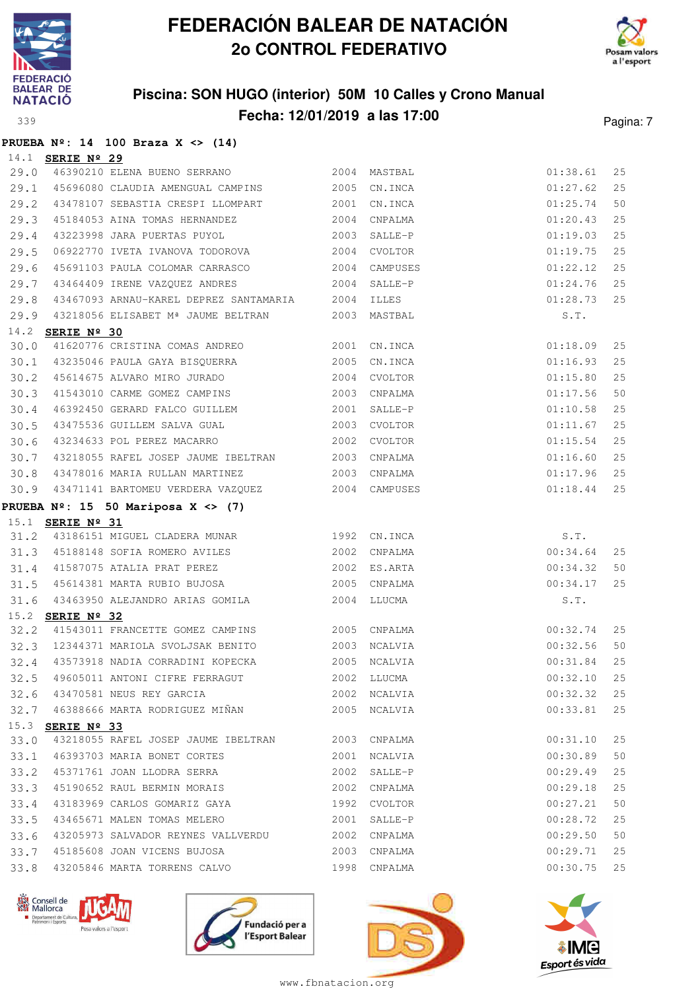



## **Piscina: SON HUGO (interior) 50M 10 Calles y Crono Manual Fecha: 12/01/2019 a las 17:00** Pagina: 7

|              |                         | PRUEBA $N^2$ : 14 100 Braza X <> (14)                                       |      |                         |                      |      |
|--------------|-------------------------|-----------------------------------------------------------------------------|------|-------------------------|----------------------|------|
|              | 14.1 <b>SERIE Nº 29</b> |                                                                             |      |                         |                      |      |
| 29.0         |                         |                                                                             |      |                         | 01:38.61             | 25   |
|              |                         | 29.1 45696080 CLAUDIA AMENGUAL CAMPINS 2005                                 |      | CN.INCA                 | 01:27.62             | 25   |
| 29.2         |                         | 43478107 SEBASTIA CRESPI LLOMPART 2001                                      |      | CN.INCA                 | 01:25.74             | 50   |
| 29.3         |                         | 45184053 AINA TOMAS HERNANDEZ                                               | 2004 | CNPALMA                 | 01:20.43             | 25   |
| 29.4         |                         | 43223998 JARA PUERTAS PUYOL                                                 | 2003 | SALLE-P                 | 01:19.03             | 25   |
| 29.5         |                         | 06922770 IVETA IVANOVA TODOROVA                                             | 2004 | CVOLTOR                 | 01:19.75             | 25   |
| 29.6         |                         | 45691103 PAULA COLOMAR CARRASCO                                             | 2004 | CAMPUSES                | 01:22.12             | 25   |
| 29.7         |                         | 43464409 IRENE VAZQUEZ ANDRES                                               | 2004 | SALLE-P                 | 01:24.76             | 25   |
| 29.8         |                         | 43467093 ARNAU-KAREL DEPREZ SANTAMARIA 2004                                 |      | ILLES                   | 01:28.73             | 25   |
| 29.9         |                         | 43218056 ELISABET Mª JAUME BELTRAN 2003 MASTBAL                             |      |                         | S.T.                 |      |
|              | 14.2 <b>SERIE Nº 30</b> |                                                                             |      |                         |                      |      |
| 30.0         |                         | 41620776 CRISTINA COMAS ANDREO 2001                                         |      | CN.INCA                 | 01:18.09             | 25   |
| 30.1         |                         | 43235046 PAULA GAYA BISQUERRA                                               | 2005 | CN.INCA                 | 01:16.93             | 25   |
| 30.2         |                         | 45614675 ALVARO MIRO JURADO                                                 | 2004 | CVOLTOR                 | 01:15.80             | 25   |
| 30.3         |                         | 41543010 CARME GOMEZ CAMPINS                                                | 2003 | CNPALMA                 | 01:17.56             | 50   |
| 30.4         |                         | 46392450 GERARD FALCO GUILLEM                                               | 2001 | SALLE-P                 | 01:10.58             | 25   |
| 30.5         |                         | 43475536 GUILLEM SALVA GUAL                                                 | 2003 | CVOLTOR                 | 01:11.67             | 25   |
| 30.6         |                         | 43234633 POL PEREZ MACARRO 2002                                             |      | CVOLTOR                 | 01:15.54             | 25   |
| 30.7         |                         | 43218055 RAFEL JOSEP JAUME IBELTRAN 2003                                    |      | CNPALMA                 | 01:16.60             | 25   |
| 30.8         |                         | 43478016 MARIA RULLAN MARTINEZ                                              |      | 2003 CNPALMA            | 01:17.96             | 25   |
|              |                         | 30.9 43471141 BARTOMEU VERDERA VAZQUEZ                                      |      | 2004 CAMPUSES           | 01:18.44             | 25   |
|              |                         | PRUEBA $N^{\circ}$ : 15 50 Mariposa X <> (7)                                |      |                         |                      |      |
|              | 15.1 <b>SERIE Nº 31</b> |                                                                             |      |                         |                      |      |
|              |                         | 31.2 43186151 MIGUEL CLADERA MUNAR 1992                                     |      | CN.INCA                 | S.T.                 |      |
|              |                         | 31.3 45188148 SOFIA ROMERO AVILES                                           | 2002 | CNPALMA                 | 00:34.64             | 25   |
| 31.4         |                         | 41587075 ATALIA PRAT PEREZ 2002                                             |      | ES.ARTA                 | 00:34.32             | 50   |
| 31.5         |                         | 45614381 MARTA RUBIO BUJOSA 2005                                            |      | CNPALMA                 | 00:34.17             | 25   |
|              |                         | 31.6 43463950 ALEJANDRO ARIAS GOMILA                                        |      | 2004 LLUCMA             | S.T.                 |      |
|              | 15.2 SERIE Nº 32        |                                                                             |      |                         |                      |      |
|              |                         | 32.2 41543011 FRANCETTE GOMEZ CAMPINS 2005 CNPALMA                          |      |                         | 00:32.74             | 25   |
|              |                         | 32.3 12344371 MARIOLA SVOLJSAK BENITO 2003 NCALVIA                          |      |                         | 00:32.56             | 50   |
|              |                         | 32.4 43573918 NADIA CORRADINI KOPECKA 2005 NCALVIA                          |      |                         | $00:31.84$ 25        |      |
|              |                         | 32.5 49605011 ANTONI CIFRE FERRAGUT                                         |      | 2002 LLUCMA             | 00:32.10             | 25   |
|              |                         | 32.6 43470581 NEUS REY GARCIA                                               |      | 2002 NCALVIA            | 00:32.32             | 25   |
|              |                         | 32.7 46388666 MARTA RODRIGUEZ MIÑAN                                         |      | 2005 NCALVIA            | 00:33.81             | 25   |
|              | 15.3 SERIE Nº 33        |                                                                             |      | 2003 CNPALMA            |                      |      |
| 33.0         |                         | 43218055 RAFEL JOSEP JAUME IBELTRAN<br>46393703 MARIA BONET CORTES          |      |                         | 00:31.10             | 25   |
| 33.1         |                         |                                                                             | 2001 | NCALVIA                 | 00:30.89             | 50   |
| 33.2         |                         | 45371761 JOAN LLODRA SERRA                                                  | 2002 | SALLE-P                 | 00:29.49             | 25   |
| 33.3         |                         | 45190652 RAUL BERMIN MORAIS<br>43183969 CARLOS GOMARIZ GAYA 67 1992 CVOLTOR | 2002 | CNPALMA                 | 00:29.18             | 25   |
| 33.4         |                         | 43465671 MALEN TOMAS MELERO                                                 | 2001 |                         | 00:27.21             | $50$ |
| 33.5         |                         |                                                                             |      | SALLE-P                 | 00:28.72             | 25   |
| 33.6<br>33.7 |                         | 43205973 SALVADOR REYNES VALLVERDU 2002<br>45185608 JOAN VICENS BUJOSA      |      | CNPALMA                 | 00:29.50<br>00:29.71 | 50   |
|              |                         | 43205846 MARTA TORRENS CALVO                                                | 2003 | CNPALMA<br>1998 CNPALMA | 00:30.75             | 25   |
| 33.8         |                         |                                                                             |      |                         |                      | 25   |







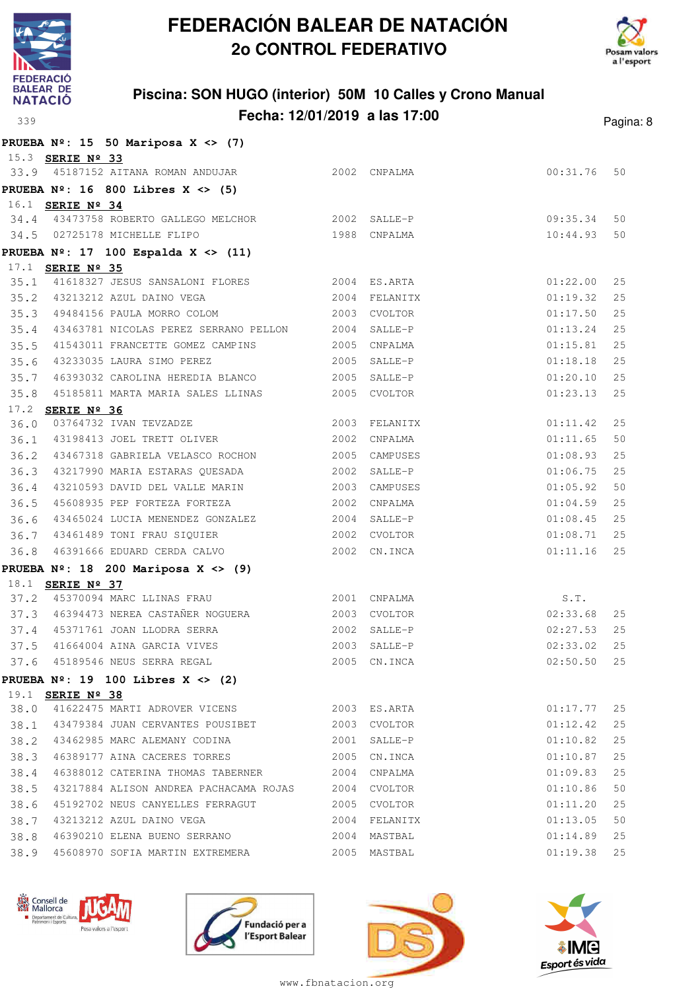



## **Piscina: SON HUGO (interior) 50M 10 Calles y Crono Manual Fecha: 12/01/2019 a las 17:00** Pagina: 8

|      | PRUEBA $N^{\circ}$ : 15 50 Mariposa X <> (7)           |      |               |               |    |
|------|--------------------------------------------------------|------|---------------|---------------|----|
|      | 15.3 SERIE Nº 33                                       |      |               |               |    |
|      | 33.9 45187152 AITANA ROMAN ANDUJAR 2002 CNPALMA        |      |               | 00:31.76 50   |    |
|      | PRUEBA $N^{\circ}$ : 16 800 Libres X <> (5)            |      |               |               |    |
|      | 16.1 SERIE Nº 34                                       |      |               |               |    |
|      | 34.4 43473758 ROBERTO GALLEGO MELCHOR 2002 SALLE-P     |      |               | 09:35.34 50   |    |
|      | 34.5 02725178 MICHELLE FLIPO                           |      | 1988 CNPALMA  | $10:44.93$ 50 |    |
|      | PRUEBA $N^{\circ}$ : 17 100 Espalda X <> (11)          |      |               |               |    |
|      | 17.1 SERIE Nº 35                                       |      |               |               |    |
|      | 35.1 41618327 JESUS SANSALONI FLORES 2004 ES.ARTA      |      |               | 01:22.00      | 25 |
|      | 35.2 43213212 AZUL DAINO VEGA                          |      | 2004 FELANITX | 01:19.32      | 25 |
|      | 35.3 49484156 PAULA MORRO COLOM 2003 CVOLTOR           |      |               | 01:17.50      | 25 |
| 35.4 | 43463781 NICOLAS PEREZ SERRANO PELLON 2004 SALLE-P     |      |               | $01:13.24$ 25 |    |
|      | 35.5 41543011 FRANCETTE GOMEZ CAMPINS 2005 CNPALMA     |      |               | $01:15.81$ 25 |    |
|      | 35.6 43233035 LAURA SIMO PEREZ                         |      | 2005 SALLE-P  | $01:18.18$ 25 |    |
|      | 35.7 46393032 CAROLINA HEREDIA BLANCO 2005 SALLE-P     |      |               | 01:20.10 25   |    |
| 35.8 | 45185811 MARTA MARIA SALES LLINAS 2005 CVOLTOR         |      |               | 01:23.13 25   |    |
|      | 17.2 SERIE Nº 36                                       |      |               |               |    |
| 36.0 | 03764732 IVAN TEVZADZE XARA VARI 2003 FELANITX         |      |               | 01:11.42 25   |    |
|      | 36.1 43198413 JOEL TRETT OLIVER                        |      | 2002 CNPALMA  | 01:11.65 50   |    |
|      | 36.2 43467318 GABRIELA VELASCO ROCHON 2005 CAMPUSES    |      |               | 01:08.93 25   |    |
|      |                                                        |      | SALLE-P       | $01:06.75$ 25 |    |
|      | 36.4 43210593 DAVID DEL VALLE MARIN 2003 CAMPUSES      |      |               | 01:05.92 50   |    |
| 36.5 | 45608935 PEP FORTEZA FORTEZA                           |      | 2002 CNPALMA  | $01:04.59$ 25 |    |
| 36.6 | 43465024 LUCIA MENENDEZ GONZALEZ 60022000 2004 SALLE-P |      |               | 01:08.45 25   |    |
|      | 36.7 43461489 TONI FRAU SIQUIER 2002 CVOLTOR           |      |               | $01:08.71$ 25 |    |
| 36.8 | 46391666 EDUARD CERDA CALVO 2002 CN.INCA               |      |               | $01:11.16$ 25 |    |
|      | PRUEBA $N^{\circ}$ : 18 200 Mariposa X <> (9)          |      |               |               |    |
|      | 18.1 <b>SERIE Nº 37</b>                                |      |               |               |    |
|      | 37.2 45370094 MARC LLINAS FRAU 2001 CNPALMA            |      |               | S.T.          |    |
|      | 37.3 46394473 NEREA CASTAÑER NOGUERA 2003 CVOLTOR      |      |               | $02:33.68$ 25 |    |
|      | 37.4 45371761 JOAN LLODRA SERRA                        |      | 2002 SALLE-P  | $02:27.53$ 25 |    |
| 37.5 | 41664004 AINA GARCIA VIVES 2003 SALLE-P                |      |               | 02:33.02 25   |    |
| 37.6 | 45189546 NEUS SERRA REGAL 2005 CN.INCA                 |      |               | 02:50.50 25   |    |
|      | PRUEBA $N^2$ : 19 100 Libres X <> (2)                  |      |               |               |    |
|      | 19.1 <b>SERIE Nº 38</b>                                |      |               |               |    |
|      | 38.0 41622475 MARTI ADROVER VICENS 2003 ES.ARTA        |      |               | 01:17.77      | 25 |
|      | 38.1 43479384 JUAN CERVANTES POUSIBET 2003             |      | CVOLTOR       | 01:12.42      | 25 |
|      | 38.2 43462985 MARC ALEMANY CODINA 2001                 |      | SALLE-P       | 01:10.82      | 25 |
| 38.3 | 46389177 AINA CACERES TORRES                           | 2005 | CN.INCA       | 01:10.87      | 25 |
| 38.4 | 46388012 CATERINA THOMAS TABERNER 2004                 |      | CNPALMA       | 01:09.83      | 25 |
| 38.5 | 43217884 ALISON ANDREA PACHACAMA ROJAS 2004            |      | CVOLTOR       | 01:10.86      | 50 |
| 38.6 | 45192702 NEUS CANYELLES FERRAGUT 2005 CVOLTOR          |      |               | 01:11.20      | 25 |
| 38.7 | 43213212 AZUL DAINO VEGA                               |      | 2004 FELANITX | 01:13.05      | 50 |
| 38.8 |                                                        |      |               | 01:14.89      | 25 |
| 38.9 | 45608970 SOFIA MARTIN EXTREMERA                        |      | 2005 MASTBAL  | 01:19.38 25   |    |







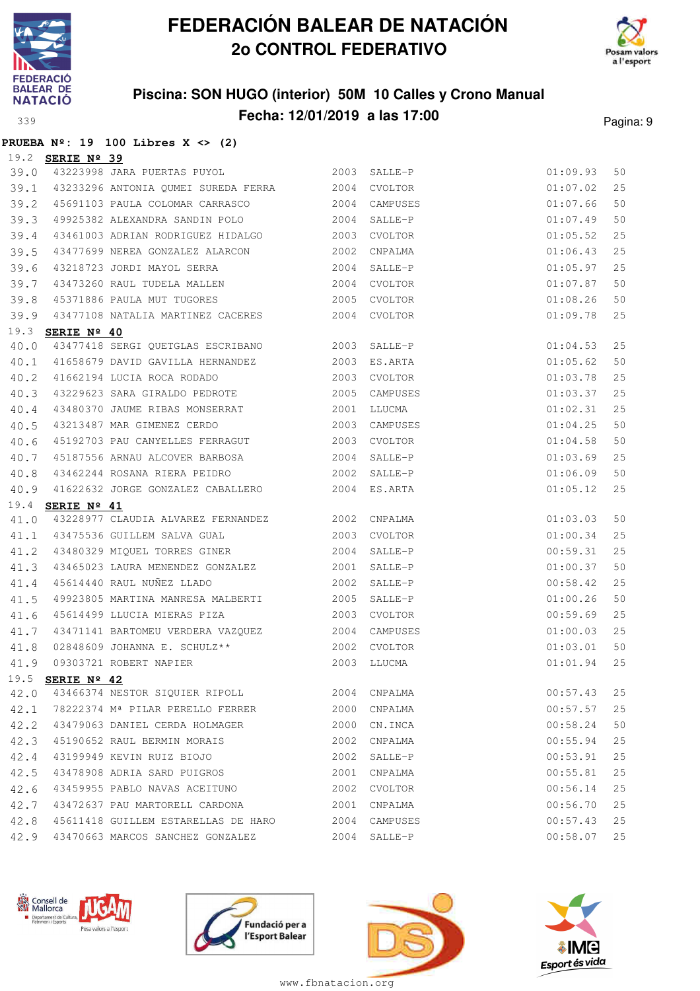

**PRUEBA Nº: 19 100 Libres X <> (2)**

## **FEDERACIÓN BALEAR DE NATACIÓN 2o CONTROL FEDERATIVO**



### **Piscina: SON HUGO (interior) 50M 10 Calles y Crono Manual Fecha: 12/01/2019 a las 17:00** Pagina: 9

|      | 19.2 SERIE Nº 39 |                                                                                     |      |                     |          |    |
|------|------------------|-------------------------------------------------------------------------------------|------|---------------------|----------|----|
| 39.0 |                  | 43223998 JARA PUERTAS PUYOL 2003 SALLE-P                                            |      |                     | 01:09.93 | 50 |
| 39.1 |                  | 43233296 ANTONIA QUMEI SUREDA FERRA 2004 CVOLTOR                                    |      |                     | 01:07.02 | 25 |
| 39.2 |                  | 45691103 PAULA COLOMAR CARRASCO 2004                                                |      | CAMPUSES            | 01:07.66 | 50 |
| 39.3 |                  | 49925382 ALEXANDRA SANDIN POLO 2004                                                 |      | SALLE-P             | 01:07.49 | 50 |
| 39.4 |                  | 43461003 ADRIAN RODRIGUEZ HIDALGO 2003                                              |      | CVOLTOR             | 01:05.52 | 25 |
| 39.5 |                  | 43477699 NEREA GONZALEZ ALARCON 2002                                                |      | CNPALMA             | 01:06.43 | 25 |
| 39.6 |                  | 2004<br>43218723 JORDI MAYOL SERRA                                                  |      | SALLE-P             | 01:05.97 | 25 |
| 39.7 |                  | 43473260 RAUL TUDELA MALLEN 2004 CVOLTOR<br>45371886 PAULA MUT TUGORES 2005 CVOLTOR |      |                     | 01:07.87 | 50 |
| 39.8 |                  |                                                                                     |      |                     | 01:08.26 | 50 |
| 39.9 |                  | 43477108 NATALIA MARTINEZ CACERES 2004 CVOLTOR                                      |      |                     | 01:09.78 | 25 |
|      | 19.3 SERIE Nº 40 |                                                                                     |      |                     |          |    |
| 40.0 |                  | 43477418 SERGI QUETGLAS ESCRIBANO 2003 SALLE-P                                      |      |                     | 01:04.53 | 25 |
| 40.1 |                  | 41658679 DAVID GAVILLA HERNANDEZ 2003 ES.ARTA                                       |      |                     | 01:05.62 | 50 |
| 40.2 |                  | 41662194 LUCIA ROCA RODADO 60 2003 CVOLTOR                                          |      |                     | 01:03.78 | 25 |
| 40.3 |                  | 43229623 SARA GIRALDO PEDROTE 2005                                                  |      | CAMPUSES            | 01:03.37 | 25 |
| 40.4 |                  | 43480370 JAUME RIBAS MONSERRAT 2001                                                 |      | LLUCMA              | 01:02.31 | 25 |
| 40.5 |                  | 43213487 MAR GIMENEZ CERDO                                                          |      | 2003 CAMPUSES       | 01:04.25 | 50 |
| 40.6 |                  | 45192703 PAU CANYELLES FERRAGUT 2003                                                |      | CVOLTOR             | 01:04.58 | 50 |
| 40.7 |                  | 45187556 ARNAU ALCOVER BARBOSA 2004                                                 |      | 01:03.69<br>SALLE-P |          | 25 |
| 40.8 |                  | 43462244 ROSANA RIERA PEIDRO 2002 SALLE-P                                           |      |                     | 01:06.09 | 50 |
|      |                  | 40.9 41622632 JORGE GONZALEZ CABALLERO 2004 ES.ARTA                                 |      |                     | 01:05.12 | 25 |
| 19.4 | SERIE Nº 41      |                                                                                     |      |                     |          |    |
| 41.0 |                  | 43228977 CLAUDIA ALVAREZ FERNANDEZ 2002 CNPALMA                                     |      |                     | 01:03.03 | 50 |
| 41.1 |                  | 43475536 GUILLEM SALVA GUAL 2003                                                    |      | CVOLTOR             | 01:00.34 | 25 |
| 41.2 |                  | 43480329 MIQUEL TORRES GINER 2004                                                   |      | SALLE-P             | 00:59.31 | 25 |
| 41.3 |                  | 43465023 LAURA MENENDEZ GONZALEZ 2001                                               |      | SALLE-P             | 01:00.37 | 50 |
| 41.4 |                  | 2002<br>45614440 RAUL NUÑEZ LLADO                                                   |      | SALLE-P             | 00:58.42 | 25 |
| 41.5 |                  | 49923805 MARTINA MANRESA MALBERTI 2005                                              |      | SALLE-P             | 01:00.26 | 50 |
| 41.6 |                  | 45614499 LLUCIA MIERAS PIZA 2003 CVOLTOR                                            |      |                     | 00:59.69 | 25 |
| 41.7 |                  | 43471141 BARTOMEU VERDERA VAZQUEZ 6000 2004 CAMPUSES                                |      |                     | 01:00.03 | 25 |
| 41.8 |                  | 02848609 JOHANNA E. SCHULZ ** 2002                                                  |      | CVOLTOR             | 01:03.01 | 50 |
| 41.9 |                  | 2003 LLUCMA<br>09303721 ROBERT NAPIER                                               |      |                     | 01:01.94 | 25 |
|      |                  |                                                                                     |      |                     |          |    |
|      | 19.5 SERIE Nº 42 |                                                                                     |      |                     |          |    |
| 42.0 |                  | 43466374 NESTOR SIQUIER RIPOLL 2004 CNPALMA                                         |      |                     | 00:57.43 | 25 |
| 42.1 |                  | 78222374 Mª PILAR PERELLO FERRER 2000                                               |      | CNPALMA             | 00:57.57 | 25 |
| 42.2 |                  |                                                                                     |      | CN.INCA             | 00:58.24 | 50 |
| 42.3 |                  | 45190652 RAUL BERMIN MORAIS                                                         | 2002 | CNPALMA             | 00:55.94 | 25 |
| 42.4 |                  | 43199949 KEVIN RUIZ BIOJO                                                           | 2002 | SALLE-P             | 00:53.91 | 25 |
| 42.5 |                  | 43478908 ADRIA SARD PUIGROS                                                         | 2001 | CNPALMA             | 00:55.81 | 25 |
| 42.6 |                  | 43459955 PABLO NAVAS ACEITUNO                                                       | 2002 | CVOLTOR             | 00:56.14 | 25 |
| 42.7 |                  | 43472637 PAU MARTORELL CARDONA                                                      |      | 2001 CNPALMA        | 00:56.70 | 25 |
| 42.8 |                  | 45611418 GUILLEM ESTARELLAS DE HARO 2004 CAMPUSES                                   |      |                     | 00:57.43 | 25 |